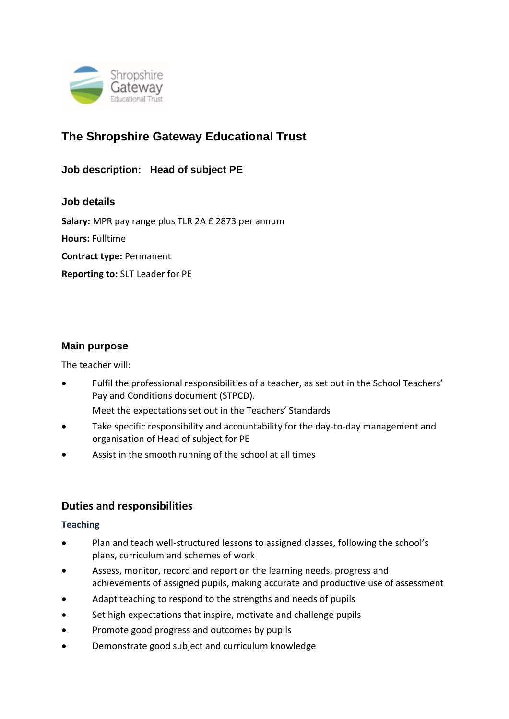

# **The Shropshire Gateway Educational Trust**

**Job description: Head of subject PE**

**Job details Salary:** MPR pay range plus TLR 2A £ 2873 per annum **Hours:** Fulltime **Contract type:** Permanent **Reporting to:** SLT Leader for PE

# **Main purpose**

The teacher will:

• Fulfil the professional responsibilities of a teacher, as set out in the School Teachers' Pay and Conditions document (STPCD).

Meet the expectations set out in the Teachers' Standards

- Take specific responsibility and accountability for the day-to-day management and organisation of Head of subject for PE
- Assist in the smooth running of the school at all times

# **Duties and responsibilities**

#### **Teaching**

- Plan and teach well-structured lessons to assigned classes, following the school's plans, curriculum and schemes of work
- Assess, monitor, record and report on the learning needs, progress and achievements of assigned pupils, making accurate and productive use of assessment
- Adapt teaching to respond to the strengths and needs of pupils
- Set high expectations that inspire, motivate and challenge pupils
- Promote good progress and outcomes by pupils
- Demonstrate good subject and curriculum knowledge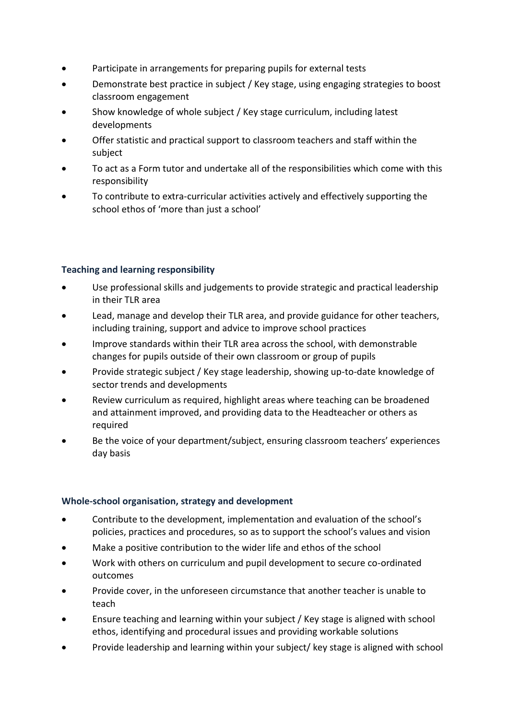- Participate in arrangements for preparing pupils for external tests
- Demonstrate best practice in subject / Key stage, using engaging strategies to boost classroom engagement
- Show knowledge of whole subject / Key stage curriculum, including latest developments
- Offer statistic and practical support to classroom teachers and staff within the subject
- To act as a Form tutor and undertake all of the responsibilities which come with this responsibility
- To contribute to extra-curricular activities actively and effectively supporting the school ethos of 'more than just a school'

# **Teaching and learning responsibility**

- Use professional skills and judgements to provide strategic and practical leadership in their TLR area
- Lead, manage and develop their TLR area, and provide guidance for other teachers, including training, support and advice to improve school practices
- Improve standards within their TLR area across the school, with demonstrable changes for pupils outside of their own classroom or group of pupils
- Provide strategic subject / Key stage leadership, showing up-to-date knowledge of sector trends and developments
- Review curriculum as required, highlight areas where teaching can be broadened and attainment improved, and providing data to the Headteacher or others as required
- Be the voice of your department/subject, ensuring classroom teachers' experiences day basis

# **Whole-school organisation, strategy and development**

- Contribute to the development, implementation and evaluation of the school's policies, practices and procedures, so as to support the school's values and vision
- Make a positive contribution to the wider life and ethos of the school
- Work with others on curriculum and pupil development to secure co-ordinated outcomes
- Provide cover, in the unforeseen circumstance that another teacher is unable to teach
- Ensure teaching and learning within your subject / Key stage is aligned with school ethos, identifying and procedural issues and providing workable solutions
- Provide leadership and learning within your subject/ key stage is aligned with school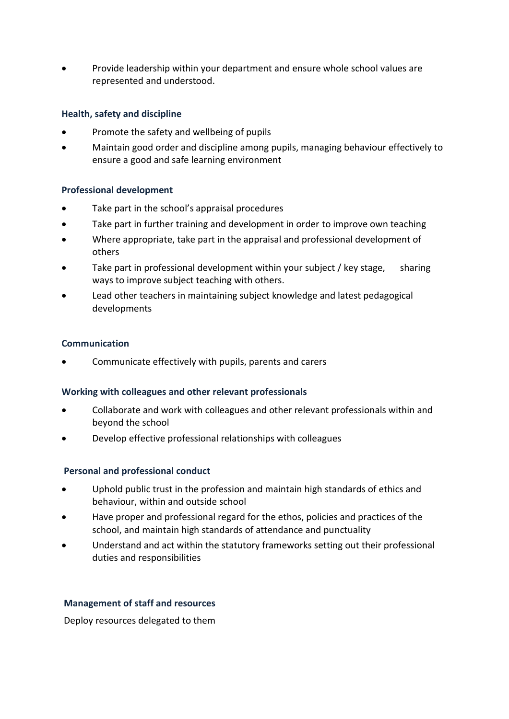• Provide leadership within your department and ensure whole school values are represented and understood.

# **Health, safety and discipline**

- Promote the safety and wellbeing of pupils
- Maintain good order and discipline among pupils, managing behaviour effectively to ensure a good and safe learning environment

## **Professional development**

- Take part in the school's appraisal procedures
- Take part in further training and development in order to improve own teaching
- Where appropriate, take part in the appraisal and professional development of others
- Take part in professional development within your subject / key stage, sharing ways to improve subject teaching with others.
- Lead other teachers in maintaining subject knowledge and latest pedagogical developments

#### **Communication**

• Communicate effectively with pupils, parents and carers

#### **Working with colleagues and other relevant professionals**

- Collaborate and work with colleagues and other relevant professionals within and beyond the school
- Develop effective professional relationships with colleagues

#### **Personal and professional conduct**

- Uphold public trust in the profession and maintain high standards of ethics and behaviour, within and outside school
- Have proper and professional regard for the ethos, policies and practices of the school, and maintain high standards of attendance and punctuality
- Understand and act within the statutory frameworks setting out their professional duties and responsibilities

## **Management of staff and resources**

Deploy resources delegated to them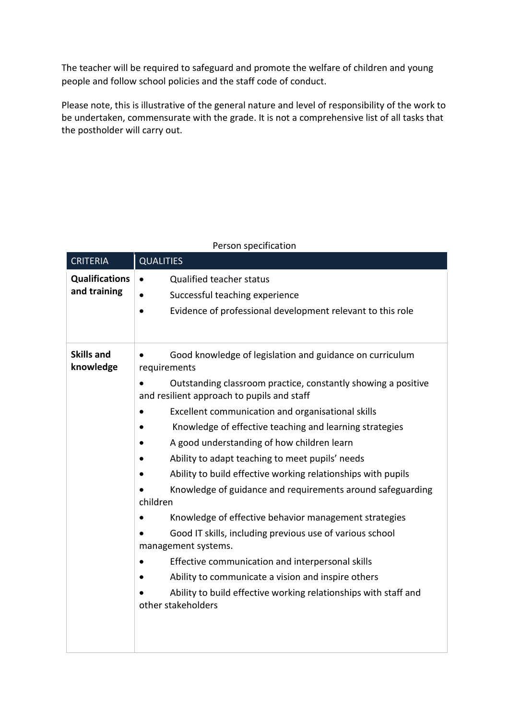The teacher will be required to safeguard and promote the welfare of children and young people and follow school policies and the staff code of conduct.

Please note, this is illustrative of the general nature and level of responsibility of the work to be undertaken, commensurate with the grade. It is not a comprehensive list of all tasks that the postholder will carry out.

| <b>CRITERIA</b>                       | <b>QUALITIES</b>                                                                                                                                                                                                                                                                                                                                                                                                                                                                                                                                                                                                                                                                                                                                                                                                                                                                                               |
|---------------------------------------|----------------------------------------------------------------------------------------------------------------------------------------------------------------------------------------------------------------------------------------------------------------------------------------------------------------------------------------------------------------------------------------------------------------------------------------------------------------------------------------------------------------------------------------------------------------------------------------------------------------------------------------------------------------------------------------------------------------------------------------------------------------------------------------------------------------------------------------------------------------------------------------------------------------|
| <b>Qualifications</b><br>and training | Qualified teacher status<br>$\bullet$<br>Successful teaching experience<br>Evidence of professional development relevant to this role<br>$\bullet$                                                                                                                                                                                                                                                                                                                                                                                                                                                                                                                                                                                                                                                                                                                                                             |
| <b>Skills and</b><br>knowledge        | Good knowledge of legislation and guidance on curriculum<br>requirements<br>Outstanding classroom practice, constantly showing a positive<br>and resilient approach to pupils and staff<br>Excellent communication and organisational skills<br>Knowledge of effective teaching and learning strategies<br>A good understanding of how children learn<br>Ability to adapt teaching to meet pupils' needs<br>Ability to build effective working relationships with pupils<br>Knowledge of guidance and requirements around safeguarding<br>children<br>Knowledge of effective behavior management strategies<br>Good IT skills, including previous use of various school<br>management systems.<br>Effective communication and interpersonal skills<br>$\bullet$<br>Ability to communicate a vision and inspire others<br>Ability to build effective working relationships with staff and<br>other stakeholders |

## Person specification